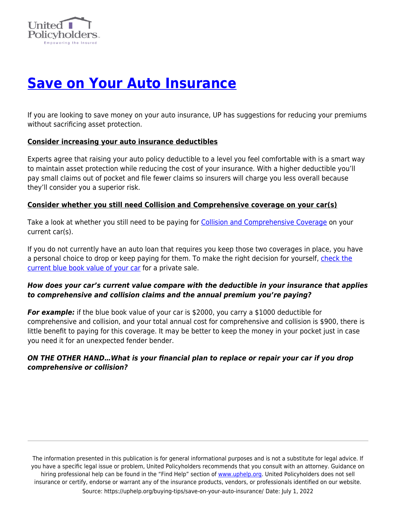

# **[Save on Your Auto Insurance](https://uphelp.org/buying-tips/save-on-your-auto-insurance/)**

If you are looking to save money on your auto insurance, UP has suggestions for reducing your premiums without sacrificing asset protection.

#### **Consider increasing your auto insurance deductibles**

Experts agree that raising your auto policy deductible to a level you feel comfortable with is a smart way to maintain asset protection while reducing the cost of your insurance. With a higher deductible you'll pay small claims out of pocket and file fewer claims so insurers will charge you less overall because they'll consider you a superior risk.

## **Consider whether you still need Collision and Comprehensive coverage on your car(s)**

Take a look at whether you still need to be paying for [Collision and Comprehensive Coverage](https://www.forbes.com/advisor/car-insurance/drop-collision-comprehensive/) on your current car(s).

If you do not currently have an auto loan that requires you keep those two coverages in place, you have a personal choice to drop or keep paying for them. To make the right decision for yourself, [check the](https://www.kbb.com/whats-my-car-worth/?ico=kbbvalue) [current blue book value of your car](https://www.kbb.com/whats-my-car-worth/?ico=kbbvalue) for a private sale.

## *How does your car's current value compare with the deductible in your insurance that applies to comprehensive and collision claims and the annual premium you're paying?*

**For example:** if the blue book value of your car is \$2000, you carry a \$1000 deductible for comprehensive and collision, and your total annual cost for comprehensive and collision is \$900, there is little benefit to paying for this coverage. It may be better to keep the money in your pocket just in case you need it for an unexpected fender bender.

## *ON THE OTHER HAND…What is your financial plan to replace or repair your car if you drop comprehensive or collision?*

The information presented in this publication is for general informational purposes and is not a substitute for legal advice. If you have a specific legal issue or problem, United Policyholders recommends that you consult with an attorney. Guidance on hiring professional help can be found in the "Find Help" section of [www.uphelp.org.](http://www.uphelp.org/) United Policyholders does not sell insurance or certify, endorse or warrant any of the insurance products, vendors, or professionals identified on our website. Source: https://uphelp.org/buying-tips/save-on-your-auto-insurance/ Date: July 1, 2022